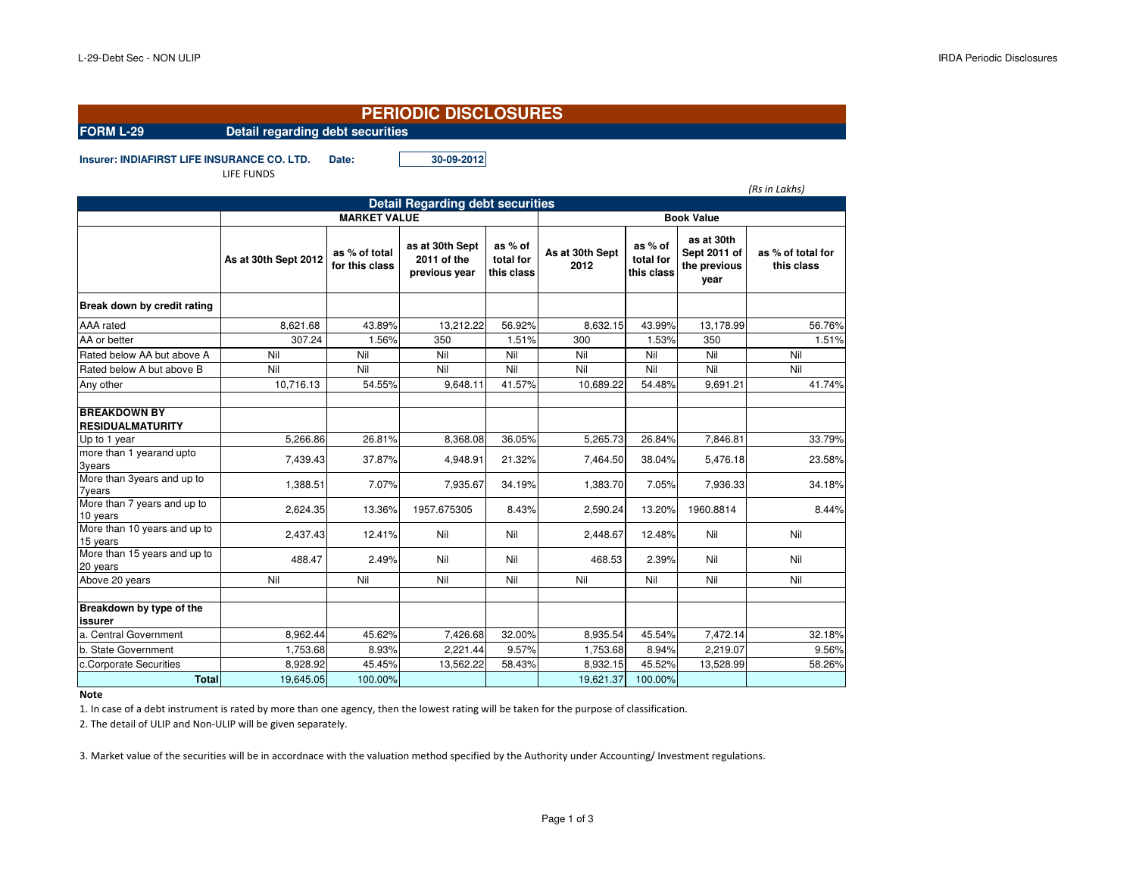*(Rs in Lakhs)*

9.56%

58.26%

 $\frac{\%}{\%}$  8,932.15 45.52% 13,528.99 58.26%

## **PERIODIC DISCLOSURES**

**FORM L-29 Detail regarding debt securities**

**Insurer: INDIAFIRST LIFE INSURANCE CO. LTD. Date: 30-09-2012**

LIFE FUNDS

| <b>Detail Regarding debt securities</b> |                                 |                                                 |                                                              |                         |                      |                                                            |                                 |  |  |
|-----------------------------------------|---------------------------------|-------------------------------------------------|--------------------------------------------------------------|-------------------------|----------------------|------------------------------------------------------------|---------------------------------|--|--|
| <b>MARKET VALUE</b>                     |                                 |                                                 |                                                              | <b>Book Value</b>       |                      |                                                            |                                 |  |  |
| As at 30th Sept 2012                    | as % of total<br>for this class | as at 30th Sept<br>2011 of the<br>previous year | as % of<br>total for<br>this class                           | As at 30th Sept<br>2012 | as % of<br>total for | as at 30th<br>Sept 2011 of<br>the previous<br>vear         | as % of total for<br>this class |  |  |
|                                         |                                 |                                                 |                                                              |                         |                      |                                                            |                                 |  |  |
| 8,621.68                                | 43.89%                          |                                                 | 56.92%                                                       |                         | 43.99%               | 13,178.99                                                  | 56.76%                          |  |  |
| 307.24                                  |                                 | 350                                             |                                                              | 300                     |                      | 350                                                        | 1.51%                           |  |  |
| Nil                                     | Nil                             | Nil                                             | Nil                                                          | Nil                     | Nil                  | Nil                                                        | Nil                             |  |  |
| Nil                                     | Nil                             | Nil                                             | Nil                                                          | Nil                     | Nil                  | Nil                                                        | Nil                             |  |  |
| 10,716.13                               |                                 | 9,648.11                                        | 41.57%                                                       | 10,689.22               | 54.48%               | 9,691.21                                                   | 41.74%                          |  |  |
|                                         |                                 |                                                 |                                                              |                         |                      |                                                            |                                 |  |  |
| 5,266.86                                |                                 |                                                 | 36.05%                                                       |                         | 26.84%               | 7,846.81                                                   | 33.79%                          |  |  |
| 7,439.43                                | 37.87%                          | 4,948.91                                        | 21.32%                                                       |                         | 38.04%               | 5,476.18                                                   | 23.58%                          |  |  |
| 1,388.51                                | 7.07%                           | 7,935.67                                        | 34.19%                                                       |                         | 7.05%                | 7,936.33                                                   | 34.18%                          |  |  |
| 2,624.35                                | 13.36%                          | 1957.675305                                     | 8.43%                                                        | 2,590.24                | 13.20%               | 1960.8814                                                  | 8.44%                           |  |  |
| 2,437.43                                |                                 | Nil                                             | Nil                                                          | 2,448.67                | 12.48%               | Nil                                                        | Nil                             |  |  |
|                                         |                                 |                                                 | 13,212.22<br>1.56%<br>54.55%<br>26.81%<br>8,368.08<br>12.41% |                         | 1.51%                | this class<br>8,632.15<br>5,265.73<br>7,464.50<br>1,383.70 | 1.53%                           |  |  |

**Note**

**issurer**

More than 15 years and up to

**Breakdown by type of the** 

1. In case of a debt instrument is rated by more than one agency, then the lowest rating will be taken for the purpose of classification.

c.Corporate Securities 8,928.92 45.45% 13,562.22 58.43%

19,645.05 100.00%

2. The detail of ULIP and Non-ULIP will be given separately.

**Total**

3. Market value of the securities will be in accordnace with the valuation method specified by the Authority under Accounting/ Investment regulations.

b. State Government 1,753.68 8.93% 2,221.44 9.57% 1,753.68 8.94% 2,219.07

noroman'io yoaro ano apio 1488.47 | 2.49% | Nil | Nil | 468.53 | 2.39% | Nil | Nil | Nil<br>20 years | Nil | Nil | Nil | Nil | Al-Above 20 years Nil | Nil | Nil | Nil | Nil | Nil | Nil | Nil | Nil

a. Central Government 8,962.44 45.62% 7,426.68 32.00% 8,935.54 45.54% 7,472.14 32.18%

19,621.37 100.00%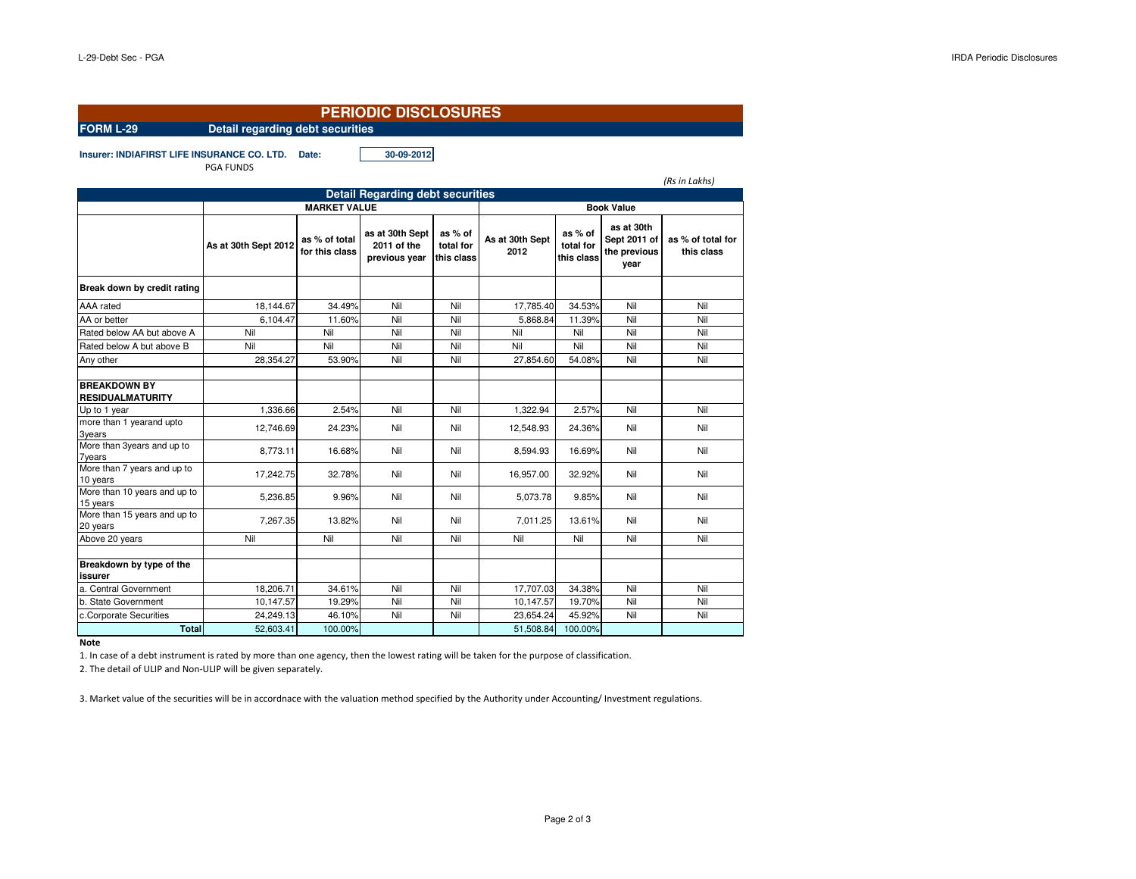| <b>PERIODIC DISCLOSURES</b>                          |                                          |                                 |                                                 |                                    |                         |                                    |                                                    |                                 |
|------------------------------------------------------|------------------------------------------|---------------------------------|-------------------------------------------------|------------------------------------|-------------------------|------------------------------------|----------------------------------------------------|---------------------------------|
| Detail regarding debt securities<br><b>FORM L-29</b> |                                          |                                 |                                                 |                                    |                         |                                    |                                                    |                                 |
| Insurer: INDIAFIRST LIFE INSURANCE CO. LTD.          | <b>PGA FUNDS</b>                         | Date:                           | 30-09-2012                                      |                                    |                         |                                    |                                                    | (Rs in Lakhs)                   |
|                                                      |                                          |                                 | <b>Detail Regarding debt securities</b>         |                                    |                         |                                    |                                                    |                                 |
|                                                      | <b>MARKET VALUE</b><br><b>Book Value</b> |                                 |                                                 |                                    |                         |                                    |                                                    |                                 |
|                                                      | As at 30th Sept 2012                     | as % of total<br>for this class | as at 30th Sept<br>2011 of the<br>previous year | as % of<br>total for<br>this class | As at 30th Sept<br>2012 | as % of<br>total for<br>this class | as at 30th<br>Sept 2011 of<br>the previous<br>year | as % of total for<br>this class |
| Break down by credit rating                          |                                          |                                 |                                                 |                                    |                         |                                    |                                                    |                                 |
| AAA rated                                            | 18,144.67                                | 34.49%                          | Nil                                             | Nil                                | 17,785.40               | 34.53%                             | Nil                                                | Nil                             |
| AA or better                                         | 6.104.47                                 | 11.60%                          | Nil                                             | Nil                                | 5.868.84                | 11.39%                             | Nil                                                | Nil                             |
| Rated below AA but above A                           | Nil                                      | Nil                             | Nil                                             | Nil                                | Nil                     | Nil                                | Nil                                                | Nil                             |
| Rated below A but above B                            | Nil                                      | Nil                             | Nil                                             | Nil                                | Nil                     | Nil                                | Nil                                                | Nil                             |
| Any other                                            | 28,354.27                                | 53.90%                          | Nil                                             | Nil                                | 27,854.60               | 54.08%                             | Nil                                                | Nil                             |
| <b>BREAKDOWN BY</b><br><b>RESIDUALMATURITY</b>       |                                          |                                 |                                                 |                                    |                         |                                    |                                                    |                                 |
| Up to 1 year                                         | 1.336.66                                 | 2.54%                           | Nil                                             | Nil                                | 1.322.94                | 2.57%                              | Nil                                                | Nil                             |
| more than 1 yearand upto<br><b>3years</b>            | 12.746.69                                | 24.23%                          | Nil                                             | Nil                                | 12,548.93               | 24.36%                             | Nil                                                | Nil                             |
| More than 3years and up to<br><b>7years</b>          | 8,773.11                                 | 16.68%                          | Nil                                             | Nil                                | 8,594.93                | 16.69%                             | Nil                                                | Nil                             |
| More than 7 years and up to<br>10 years              | 17,242.75                                | 32.78%                          | Nil                                             | Nil                                | 16,957.00               | 32.92%                             | Nil                                                | Nil                             |
| More than 10 years and up to<br>15 years             | 5,236.85                                 | 9.96%                           | Nil                                             | Nil                                | 5,073.78                | 9.85%                              | Nil                                                | Nil                             |
| More than 15 years and up to<br>20 years             | 7,267.35                                 | 13.82%                          | Nil                                             | Nil                                | 7,011.25                | 13.61%                             | Nil                                                | Nil                             |
| Above 20 years                                       | Nil                                      | Nil                             | Nil                                             | Nil                                | Nil                     | Nil                                | Nil                                                | Nil                             |
| Breakdown by type of the<br>issurer                  |                                          |                                 |                                                 |                                    |                         |                                    |                                                    |                                 |
| a. Central Government                                | 18.206.71                                | 34.61%                          | Nil                                             | Nil                                | 17,707.03               | 34.38%                             | Nil                                                | Nil                             |
| b. State Government                                  | 10,147.57                                | 19.29%                          | Nil                                             | Nil                                | 10,147.57               | 19.70%                             | Nil                                                | Nil                             |
| c.Corporate Securities                               | 24,249.13                                | 46.10%                          | Nil                                             | Nil                                | 23.654.24               | 45.92%                             | Nil                                                | Nil                             |
| <b>Total</b>                                         | 52.603.41                                | 100.00%                         |                                                 |                                    | 51.508.84               | 100.00%                            |                                                    |                                 |

**Note**

1. In case of a debt instrument is rated by more than one agency, then the lowest rating will be taken for the purpose of classification.

2. The detail of ULIP and Non-ULIP will be given separately.

3. Market value of the securities will be in accordnace with the valuation method specified by the Authority under Accounting/ Investment regulations.